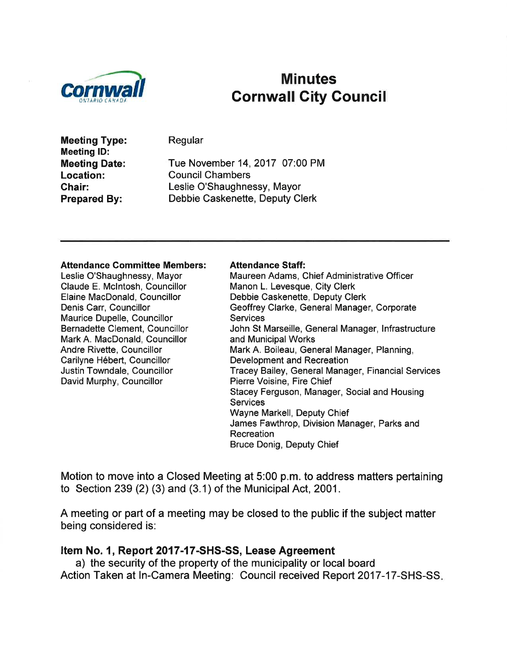

# Minutes<br>Cornwall Cornwall City Council

Meeting Type: Meeting lD: Meeting Date: Location: Chair: Prepared By:

Regular

Tue November 14,2017 07:00 PM Council Chambers Leslie O'Shaughnessy, Mayor Debbie Caskenette, Deputy Clerk

#### Attendance Gommittee Members:

Leslie O'Shaughnessy, Mayor Claude E. Mclntosh, Councillor Elaine MacDonald, Councillor Denis Carr, Councillor Maurice Dupelle, Councillor Bernadette Clement, Councillor Mark A. MacDonald, Councillor Andre Rivette, Councillor Carilyne Hébert, Councillor Justin Towndale, Councillor David Murphy, Councillor

#### Attendance Staff:

Maureen Adams, Chief Administrative Officer Manon L. Levesque, City Clerk Debbie Caskenette, Deputy Clerk Geoffrey Clarke, General Manager, Corporate **Services** John St Marseille, General Manager, lnfrastructure and Municipal Works Mark A. Boileau, General Manager, Planning, Development and Recreation Tracey Bailey, General Manager, Financial Services Pierre Voisine, Fire Chief Stacey Ferguson, Manager, Social and Housing **Services** Wayne Markell, Deputy Chief James Fawthrop, Division Manager, Parks and Recreation Bruce Donig, Deputy Chief

Motion to move into a Closed Meeting at 5:00 p.m. to address matters pertaining to Section 239 (2) (3) and (3.1) of the Municipal Act, 2001.

A meeting or part of a meeting may be closed to the public if the subject matter being considered is:

#### Item No. 1, Report 2017-17-SHS-SS, Lease Agreement

a) the security of the property of the municipality or local board Action Taken at ln-Camera Meeting: Council received Report 2017-17-SHS-SS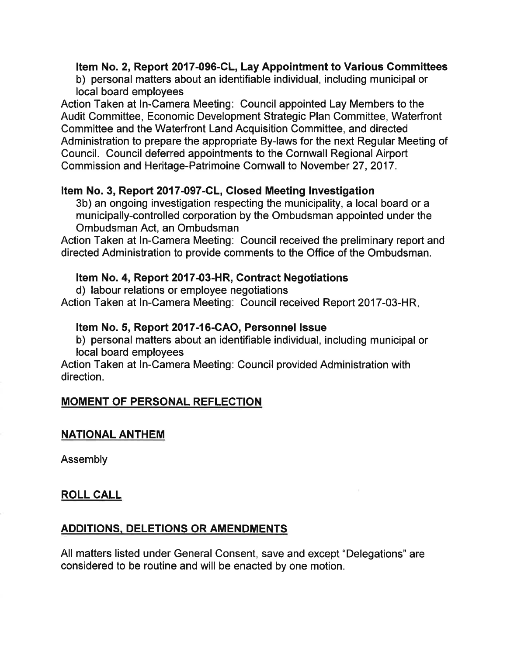#### Item No. 2, Report 2017-096-CL, Lay Appointment to Various Gommittees

b) personal matters about an identifiable individual, including municipal or local board employees

Action Taken at ln-Camera Meeting: Council appointed Lay Members to the Audit Committee, Economic Development Strategic Plan Committee, Waterfront Committee and the Waterfront Land Acquisition Committee, and directed Administration to prepare the appropriate By-laws for the next Regular Meeting of Council. Council deferred appointments to the Cornwall Regional Airport Commission and Heritage-Patrimoine Cornwall to November 27,2017.

#### Item No. 3, Report 2017-097-CL, Glosed Meeting Investigation

3b) an ongoing investigation respecting the municipality, a local board or a municipally-controlled corporation by the Ombudsman appointed under the Ombudsman Act, an Ombudsman

Action Taken at In-Camera Meeting: Council received the preliminary report and directed Administration to provide comments to the Office of the Ombudsman.

#### Item No. 4, Report 2017-03-HR, Contract Negotiations

d) labour relations or employee negotiations

Action Taken at ln-Camera Meeting: Council received Report 2017-03-HR

#### ftem No. 5, Report 2017-16-CAO, Personnel lssue

b) personal matters about an identifiable individual, including municipal or local board employees

Action Taken at ln-Camera Meeting: Council provided Administration with direction.

## MOMENT OF PERSONAL REFLECTION

## NATIONAL ANTHEM

Assembly

## ROLL CALL

## ADDITIONS, DELETIONS OR AMENDMENTS

All matters listed under General Consent, save and except "Delegations" are considered to be routine and will be enacted by one motion.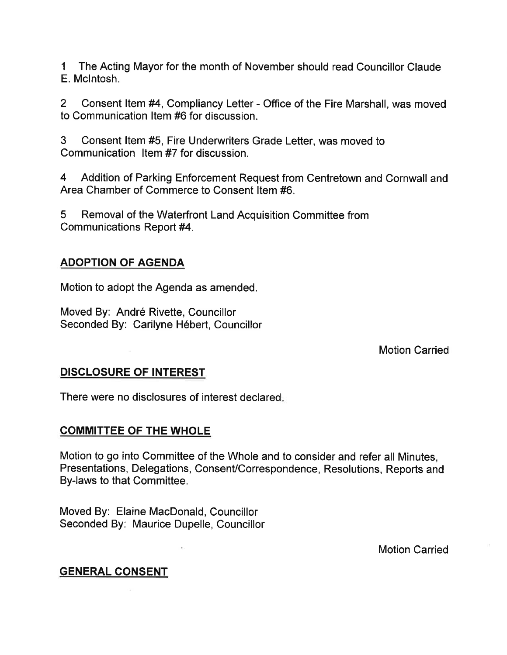1 The Acting Mayor for the month of November should read Councillor Claude E. Mclntosh.

2 Consent ltem #4, Compliancy Letter - Office of the Fire Marshall, was moved to Communication ltem #6 for discussion.

3 Consent ltem #5, Fire Undenruriters Grade Letter, was moved to Communication ltem #7 for discussion.

4 Addition of Parking Enforcement Request from Centretown and Cornwall and Area Chamber of Commerce to Consent ltem #6.

5 Removal of the Waterfront Land Acquisition Committee from Communications Report #4.

## ADOPTION OF AGENDA

Motion to adopt the Agenda as amended.

Moved By: André Rivette, Councillor Seconded By: Carilyne Hébert, Councillor

Motion Carried

## DISCLOSURE OF INTEREST

There were no disclosures of interest declared

## COMMITTEE OF THE WHOLE

Motion to go into Committee of the Whole and to consider and refer all Minutes, Presentations, Delegations, ConsenVCorrespondence, Resolutions, Reports and By-laws to that Committee.

Moved By: Elaine MacDonald, Councillor Seconded By: Maurice Ðupelle, Councillor

Motion Carried

## GENERAL CONSENT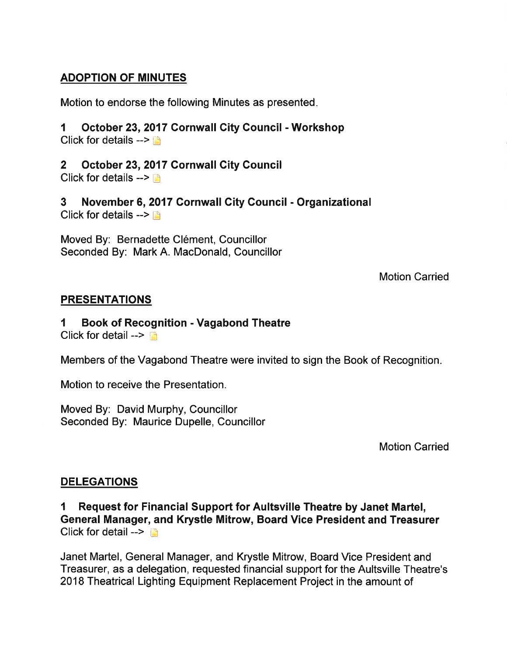## ADOPTION OF MINUTES

Motion to endorse the following Minutes as presented

#### 1 October 23,2017 Cornwall Gity Council - Workshop Click for details  $--$

2 October 23,2017 Gornwall Gity Gouncil

Click for details  $--$ 

3 November 6,2017 Gornwall City Gouncil - Organizational Click for details  $>$   $\mathbb{F}$ 

Moved By: Bernadette Clément, Councillor Seconded By: Mark A. MacDonald, Councillor

Motion Carried

## PRESENTATIONS

#### 1 Book of Recognition - Vagabond Theatre Click for detail  $\rightarrow$

Members of the Vagabond Theatre were invited to sign the Book of Recognition.

Motion to receive the Presentation.

Moved By: David Murphy, Councillor Seconded By: Maurice Dupelle, Councillor

Motion Carried

## **DELEGATIONS**

I Request for Financial Support for Aultsville Theatre by Janet Martel, General Manager, and Krystle Mitrow, Board Vice President and Treasurer Click for detail  $\rightarrow$ 

Janet Martel, General Manager, and Krystle Mitrow, Board Vice President and Treasurer, as a delegation, requested financial support for the Aultsville Theatre's 2018 Theatrical Lighting Equipment Replacement Project in the amount of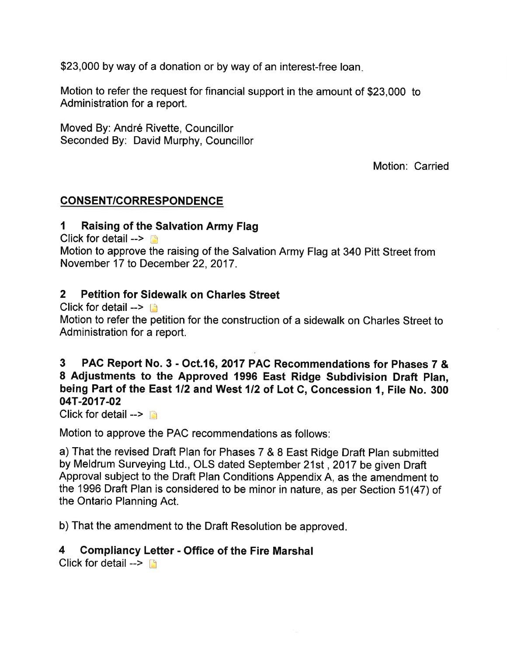\$23,000 by way of a donation or by way of an interest-free loan.

Motion to refer the request for financial support in the amount of \$23,000 to Administration for a report.

Moved By: André Rivette, Councillor Seconded By: David Murphy, Councillor

Motion: Carried

## CONSENT/CORRESPONDENCE

#### 1 Raising of the Salvation Army Flag

Click for detail  $\blacksquare$ 

Motion to approve the raising of the Salvation Army Flag at 340 Pitt Street from November 17 to December 22, 2017.

#### 2 Petition for Sidewalk on Charles Street

Click for detail  $\blacksquare$ 

Motion to refer the petition for the construction of a sidewalk on Charles Street to Administration for a report.

## 3 PAC Report No. 3 - Oct.16,2017 PAC Recommendations for Phases 7 & 8 Adjustments to the Approved 1996 East Ridge Subdivision Draft Plan. being Part of the East 1/2 and West 1/2 of Lot C, Concession 1, File No. 300 04T-2017-02

Click for detail  $\triangleright$ 

Motion to approve the PAC recommendations as follows:

a) That the revised Draft Plan for Phases 7 & 8 East Ridge Draft Plan submitted by Meldrum Surveying Ltd., OLS dated September 21st , 2017 be given Draft Approval subject to the Draft Plan Conditions Appendix A, as the amendment to the 1996 Draft Plan is considered to be minor in nature, as per Section 51(47) of the Ontario Planning Act.

b) That the amendment to the Draft Resolution be approved

## 4 Gompliancy Letter - Office of the Fire Marshal

Click for detail  $\rightarrow \Box$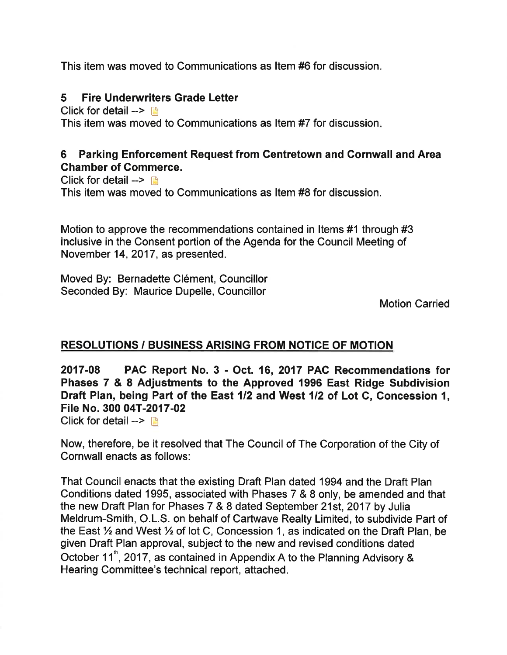This item was moved to Communications as ltem #6 for discussion.

## 5 Fire Underwriters Grade Letter

Click for detail  $\triangleright$   $\blacksquare$ This item was moved to Communications as ltem #7 for discussion

## 6 Parking Enforcement Request from Centretown and Cornwall and Area Ghamber of Commerce.

Click for detail  $\rightarrow$  n This item was moved to Communications as ltem #8 for discussion.

Motion to approve the recommendations contained in ltems #1 through #3 inclusive in the Consent portion of the Agenda for the Council Meeting of November 14,2017, as presented.

Moved By: Bernadette Clément, Councillor Seconded By: Maurice Dupelle, Councillor

Motion Carried

## RESOLUTIONS / BUSINESS ARISING FROM NOTICE OF MOTION

20'17-08 PAC Report No. 3 - Oct. 16, 2017 PAC Recommendations for Phases 7 & 8 Adjustments to the Approved 1996 East Ridge Subdivision Draft Plan, being Part of the East 112 and West 112 of Lot C, Concession l, File No. 300 04T-2017-02

Click for detail  $\rightarrow$   $\rightarrow$ 

Now, therefore, be it resolved that The Council of The Corporation of the City of Cornwall enacts as follows:

That Council enacts that the existing Draft Plan dated 1994 and the Draft Plan Conditions dated 1995, associated with Phases 7 & 8 only, be amended and that the new Draft Plan for Phases 7 & 8 dated September 21st, 2017 by Julia Meldrum-Smith, O.L.S. on behalf of Cartwave Realty Limited, to subdivide Part of the East  $\frac{1}{2}$  and West  $\frac{1}{2}$  of lot C, Concession 1, as indicated on the Draft Plan, be given Draft Plan approval, subject to the new and revised conditions dated October 11<sup>th</sup>, 2017, as contained in Appendix A to the Planning Advisory & Hearing Committee's technical report, attached.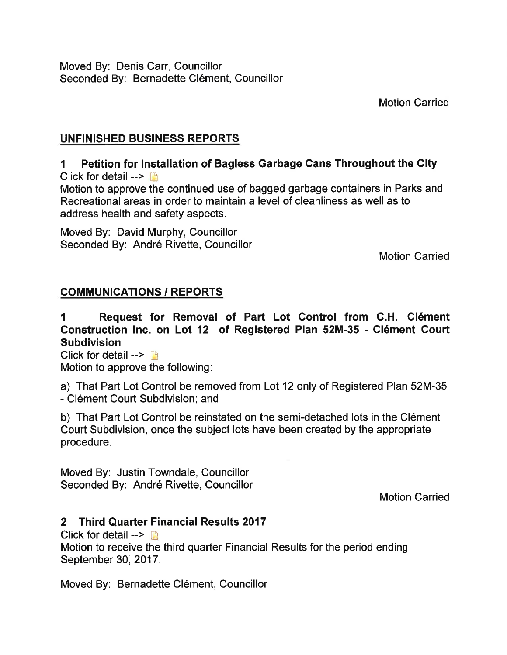Moved By: Denis Carr, Councillor Seconded By: Bernadette Clément, Councillor

Motion Carried

## UNFINISHED BUSINESS REPORTS

## I Petition for lnstallation of Bagless Garbage Gans Throughout the City

Click for detail  $--$ 

Motion to approve the continued use of bagged garbage containers in Parks and Recreational areas in order to maintain a level of cleanliness as well as to address health and safety aspects.

Moved By: David Murphy, Councillor Seconded By: André Rivette, Councillor

Motion Carried

## COMMUNICATIONS / REPORTS

1 Request for Removal of Part Lot Control from C.H. Clément Gonstruction lnc. on Lot 12 of Registered Plan 52M-35 - Clément Court **Subdivision** 

Click for detail  $\rightarrow$  n Motion to approve the following:

a) That Part Lot Control be removed from Lot 12 only of Registered Plan 52M-35 - Clément Court Subdivision; and

b) That Part Lot Control be reinstated on the semi-detached lots in the Clément Court Subdivision, once the subject lots have been created by the appropriate procedure.

Moved By: Justin Towndale, Councillor Seconded By: André Rivette, Councillor

Motion Carried

## 2 Third Quarter Financial Results <sup>2017</sup>

Click for detail  $\rightarrow$   $\rightarrow$ 

Motion to receive the third quarter Financial Results for the period ending September 30, 2017.

Moved By: Bernadette Clément, Councillor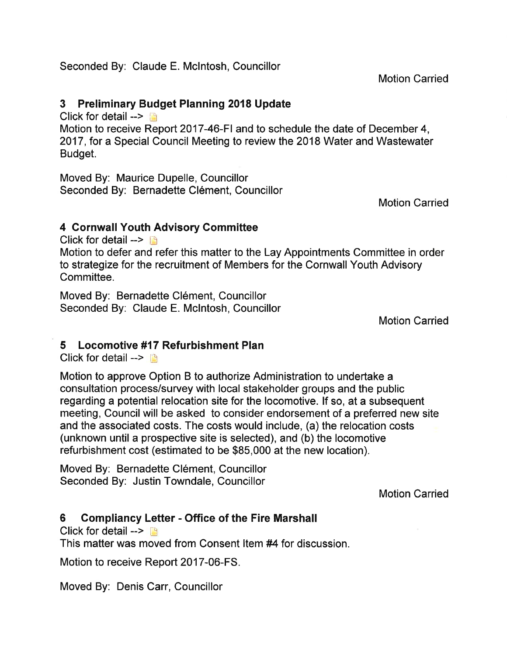Seconded By: Claude E. Mclntosh, Councillor

Motion Carried

## 3 Preliminary Budget Planning 2018 Update

Click for detail  $\rightarrow$ 

Motion to receive Report 2017-46-Fl and to schedule the date of December 4, 2017, for a Special Council Meeting to review the 2018 Water and Wastewater Budget.

Moved By: Maurice Dupelle, Councillor Seconded By: Bernadette Clément, Councillor

Motion Carried

#### 4 Cornwall Youth Advisory Committee

Click for detail  $\rightarrow$ 

Motion to defer and refer this matter to the Lay Appointments Committee in order to strategize for the recruitment of Members for the Cornwall Youth Advisory Committee.

Moved By. Bernadette Clément, Councillor Seconded By: Claude E. Mclntosh, Councillor

Motion Carried

## 5 Locomotive #17 Refurbishment Plan

Click for detail  $\rightarrow$ 

Motion to approve Option B to authorize Administration to undertake a consultation process/survey with local stakeholder groups and the public regarding a potential relocation site for the locomotive. lf so, at a subsequent meeting, Council will be asked to consider endorsement of a preferred new site and the associated costs. The costs would include, (a) the relocation costs (unknown until a prospective site is selected), and (b) the locomotive refurbishment cost (estimated to be \$85,000 at the new location).

Moved By: Bernadette Clément, Councillor Seconded By: Justin Towndale, Councillor

Motion Carried

## 6 Gompliancy Letter - Office of the Fire Marshall

Click for detail  $\rightarrow$   $\rightarrow$ 

This matter was moved from Consent ltem #4 for discussion.

Motion to receive Report 2017-06-FS.

Moved By: Denis Carr, Councillor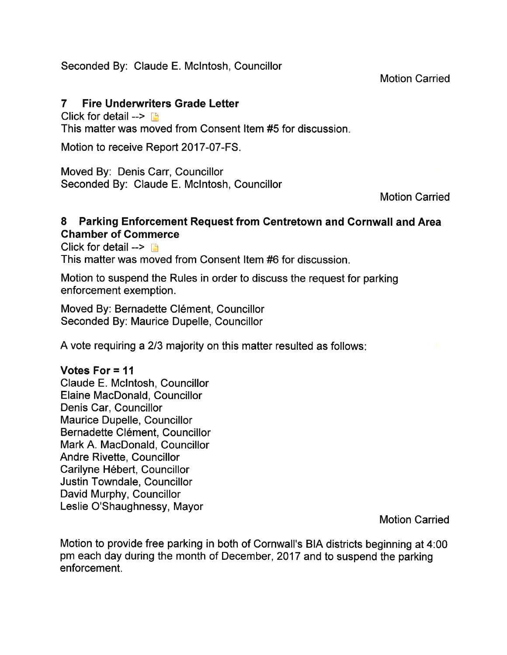Seconded By: Claude E. Mclntosh, Councillor

Motion Carried

## 7 Fire Underwriters Grade Letter

Click for detail  $\rightarrow$  [9] This matter was moved from Consent ltem #5 for discussion

Motion to receive Report 2017-07-FS.

Moved By: Denis Carr, Councillor Seconded By: Claude E. Mclntosh, Councillor

Motion Carried

#### 8 Parking Enforcement Request from Centretown and Cornwall and Area Chamber of Commerce

Click for detail  $\rightarrow$   $\Box$ 

This matter was moved from Consent ltem #6 for discussion.

Motion to suspend the Rules in order to discuss the request for parking enforcement exemption.

Moved By: Bernadette Clément, Councillor Seconded By: Maurice Dupelle, Councillor

A vote requiring a 2/3 majority on this matter resulted as follows:

#### Votes For = 1l

Claude E. Mclntosh, Councillor Elaine MacDonald, Councillor Denis Car, Councillor Maurice Dupelle, Councillor Bernadette Clément, Councillor Mark A. MacDonald, Councillor Andre Rivette, Councillor Carilyne Hébert, Councillor Justin Towndale, Councillor David Murphy, Councillor Leslie O'Shaughnessy, Mayor

Motion Carried

Motion to provide free parking in both of Cornwall's BIA districts beginning at 4:00 pm each day during the month of December,2017 and to suspend the parking enforcement.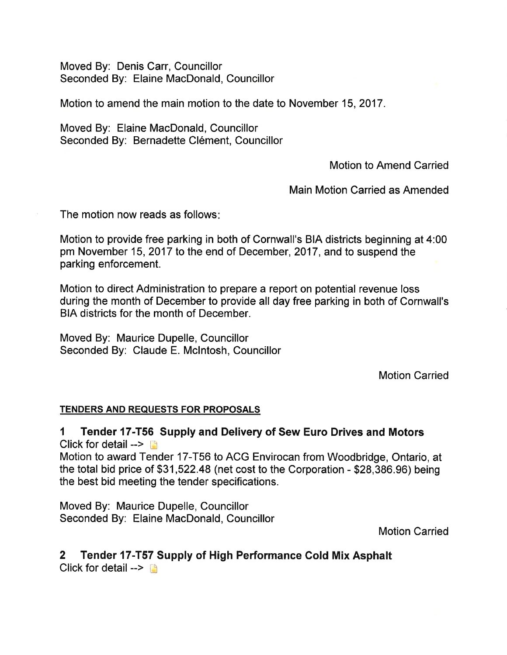Moved By: Denis Carr, Councillor Seconded By: Elaine MacDonald, Councillor

Motion to amend the main motion to the date to November 15,2017.

Moved By: Elaine MacDonald, Councillor Seconded By: Bernadette Clément, Councillor

Motion to Amend Carried

Main Motion Carried as Amended

The motion now reads as follows

Motion to provide free parking in both of Cornwall's BIA districts beginning at 4:00 pm November 15,2017 to the end of December,2017, and to suspend the parking enforcement.

Motion to direct Administration to prepare a report on potential revenue loss during the month of December to provide all day free parking in both of Cornwall's BIA districts for the month of December.

Moved By: Maurice Dupelle, Councillor Seconded By: Claude E. Mclntosh, Councillor

Motion Carried

#### TENDERS AND REQUESTS FOR PROPOSALS

1 Tender 17-T56 Supply and Delivery of Sew Euro Drives and Motors Click for detail  $\rightarrow$ 

Motion to award Tender 17-T56 to ACG Envirocan from Woodbridge, Ontario, at the total bid price of \$31 ,522.48 (net cost to the Corporation - \$28,386.96) being the best bid meeting the tender specifications.

Moved By: Maurice Dupelle, Councillor Seconded By: Elaine MacDonald, Councillor

Motion Carried

# 2 Tender 17-T57 Supply of High Performance Cold Mix Asphalt

Click for detail  $\rightarrow$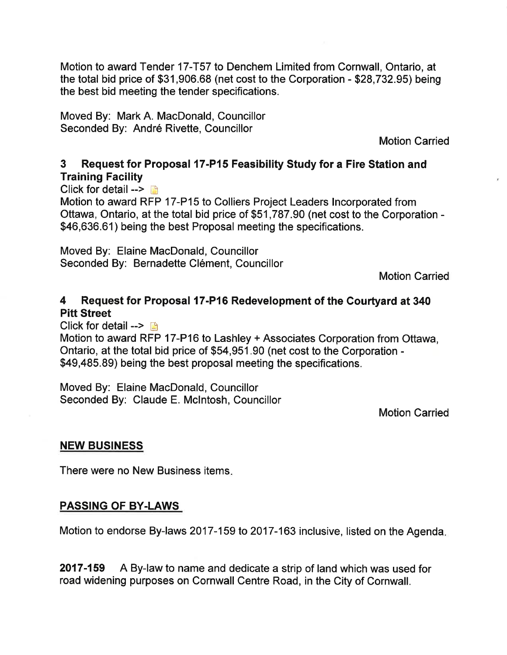Motion to award Tender 17-T57 to Denchem Limited from Cornwall, Ontario, at the total bid price of \$31,906.68 (net cost to the Corporation - \$28,732.95) being the best bid meeting the tender specifications.

Moved By: Mark A. MacDonald, Councillor Seconded By: André Rivette, Councillor

Motion Carried

## 3 Request for Proposal 17-P15 Feasibility Study for a Fire Station and Training Facility

Click for detail  $--$ 

Motion to award RFP 17-P15 to Colliers Project Leaders lncorporated from Ottawa, Ontario, at the total bid price of \$51 ,787.90 (net cost to the Corporation - \$46,636.61) being the best Proposal meeting the specifications.

Moved By: Elaine MacDonald, Councillor Seconded By: Bernadette Clément, Councillor

Motion Carried

## 4 Request for Proposal l7-P16 Redevelopment of the Courtyard at <sup>340</sup> Pitt Street

Click for detail -->  $\blacksquare$ 

Motion to award RFP 17-P16 to Lashley + Associates Corporation from Ottawa, Ontario, at the total bid price of \$54,951.90 (net cost to the Corporation - \$49,485.89) being the best proposal meeting the specifications.

Moved By: Elaine MacDonald, Councillor Seconded By: Claude E. Mclntosh, Councillor

Motion Carried

#### NEW BUSINESS

There were no New Business items

#### PASSING OF BY-LAWS

Motion to endorse By-laws 2017-159 to 2017-163 inclusive, listed on the Agenda

2017-159 A By-law to name and dedicate a strip of land which was used for road widening purposes on Cornwall Centre Road, in the City of Cornwall.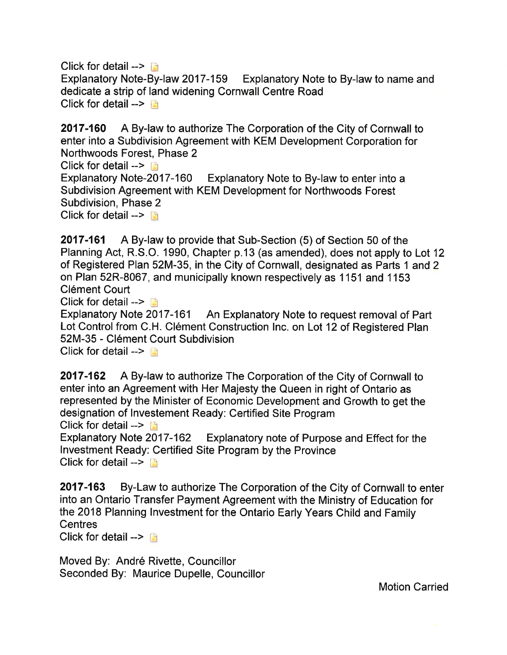Click for detail  $\rightarrow$ Explanatory Note-By-law 2017-159 Explanatory Note to By-law to name and dedicate a strip of land widening Cornwall Centre Road Click for detail  $\rightarrow$ 

2017-160 A By-law to authorize The Corporation of the City of Cornwall to enter into a Subdivision Agreement with KEM Development Corporation for Northwoods Forest, Phase 2 Click for detail  $\rightarrow$  [3] Explanatory Note-2017-160 Explanatory Note to By-law to enter into a Subdivision Agreement with KEM Development for Northwoods Forest Subdivision, Phase 2 Click for detail  $\rightarrow$   $\rightarrow$ 

**2017-161** A By-law to provide that Sub-Section (5) of Section 50 of the Planning Act, R.S.O. 1990, Chapter p.13 (as amended), does not apply to Lot 12 of Registered Plan 52M-35, in the City of Cornwall, designated as Parts 1 and 2 on Plan 52R-8067, and municipally known respectively as 1 151 and 1 153 Clément Court

Click for detail  $\rightarrow$  [3]

Explanatory Note 2017-161 An Explanatory Note to request removal of Part Lot Control from C.H. Clément Construction lnc. on Lot 12 of Registered Plan 52M-35 - Clément Court Subdivision Click for detail  $\rightarrow$ 

2017-162 A By-law to authorize The Corporation of the City of Cornwall to enter into an Agreement with Her Majesty the Queen in right of Ontario as represented by the Minister of Economic Development and Growth to get the designation of lnvestement Ready: Certified Site Program Click for detail  $\rightarrow$   $\Box$ 

Explanatory Note 2017-162 Explanatory note of Purpose and Effect for the lnvestment Ready: Certified Site Program by the Province Click for detail  $\rightarrow$ 

2017-163 By-Law to authorize The Corporation of the City of Cornwall to enter into an Ontario Transfer Payment Agreement with the Ministry of Education for the 2018 Planning Investment for the Ontario Early Years Child and Family **Centres** 

Click for detail  $\rightarrow$   $\rightarrow$ 

Moved By: André Rivette, Councillor Seconded By: Maurice Dupelle, Councillor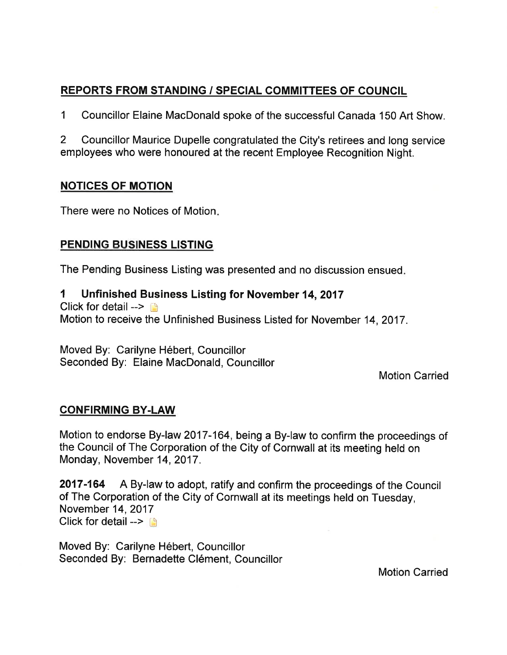## REPORTS FROM STANDING / SPECIAL GOMMITTEES OF COUNCIL

1 Councillor Elaine MacDonald spoke of the successful Canada 150 Art Show.

2 Councillor Maurice Dupelle congratulated the City's retirees and long service employees who were honoured at the recent Employee Recognition Night.

## NOTICES OF MOTION

There were no Notices of Motion

## **PENDING BUSINESS LISTING**

The Pending Business Listing was presented and no discussion ensued

#### 1 Unfinished Business Listing for November 14,2017

Click for detail  $\rightarrow$ 

Motion to receive the Unfinished Business Listed for November 14, 2017.

Moved By: Carilyne Hébert, Councillor Seconded By: Elaine MacDonald, Councillor

Motion Carried

#### CONFIRMING BY.LAW

Motion to endorse By-law 2017-164, being a By-law to confirm the proceedings of the Council of The Corporation of the City of Cornwall at its meeting held on Monday, November 14, 2017.

2017-164 A By-law to adopt, ratify and confirm the proceedings of the Council of The Corporation of the City of Cornwall at its meetings held on Tuesday, November 14,2017 Click for detail  $\rightarrow$ 

Moved By: Carilyne Hébert, Councillor Seconded By: Bernadette Clément, Councillor

Motion Carried